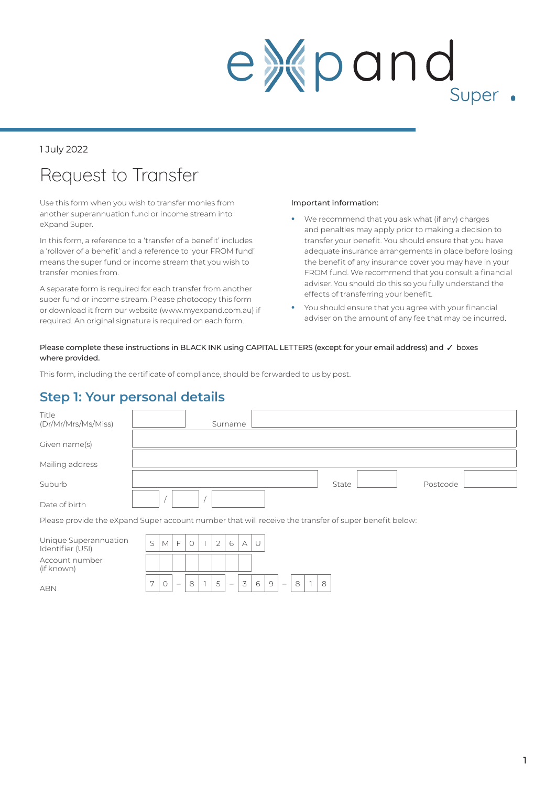# expand Super .

#### 1 July 2022

### Request to Transfer

Use this form when you wish to transfer monies from another superannuation fund or income stream into eXpand Super.

In this form, a reference to a 'transfer of a benefit' includes a 'rollover of a benefit' and a reference to 'your FROM fund' means the super fund or income stream that you wish to transfer monies from.

A separate form is required for each transfer from another super fund or income stream. Please photocopy this form or download it from our website (www.myexpand.com.au) if required. An original signature is required on each form.

#### Important information:

- **•** We recommend that you ask what (if any) charges and penalties may apply prior to making a decision to transfer your benefit. You should ensure that you have adequate insurance arrangements in place before losing the benefit of any insurance cover you may have in your FROM fund. We recommend that you consult a financial adviser. You should do this so you fully understand the effects of transferring your benefit.
- **•** You should ensure that you agree with your financial adviser on the amount of any fee that may be incurred.

#### Please complete these instructions in BLACK INK using CAPITAL LETTERS (except for your email address) and  $\checkmark$  boxes where provided.

This form, including the certificate of compliance, should be forwarded to us by post.

#### **Step 1: Your personal details**

| Title<br>(Dr/Mr/Mrs/Ms/Miss)                                                                          |  | Surname |  |       |          |  |
|-------------------------------------------------------------------------------------------------------|--|---------|--|-------|----------|--|
| Given name(s)                                                                                         |  |         |  |       |          |  |
| Mailing address                                                                                       |  |         |  |       |          |  |
| Suburb                                                                                                |  |         |  | State | Postcode |  |
| Date of birth                                                                                         |  |         |  |       |          |  |
| Please provide the eXpand Super account number that will receive the transfer of super benefit below: |  |         |  |       |          |  |

| Unique Superannuation<br>Identifier (USI) | $\overline{C}$ |  |   |                | 6                        |  |  |  |  |
|-------------------------------------------|----------------|--|---|----------------|--------------------------|--|--|--|--|
| Account number<br>(if known)              |                |  |   |                |                          |  |  |  |  |
| ARN                                       | Ē              |  | 8 | $\overline{ }$ | $\overline{\phantom{a}}$ |  |  |  |  |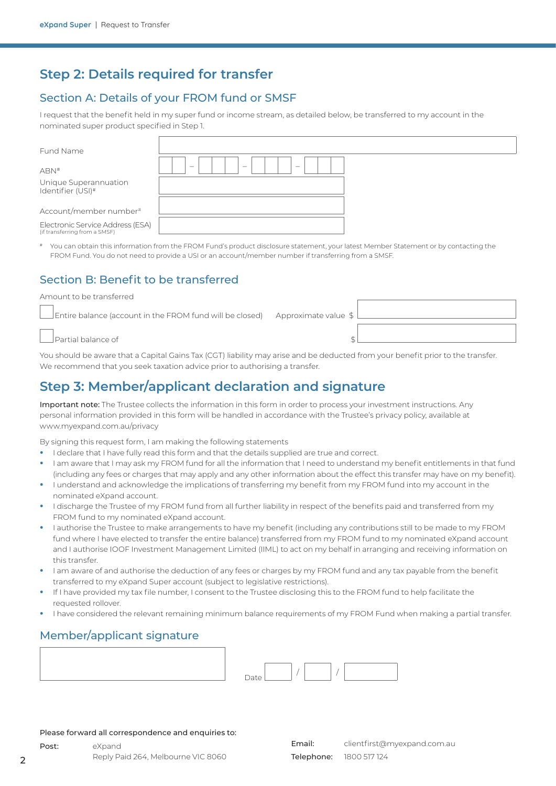#### **Step 2: Details required for transfer**

#### Section A: Details of your FROM fund or SMSF

I request that the benefit held in my super fund or income stream, as detailed below, be transferred to my account in the nominated super product specified in Step 1.

| Fund Name |
|-----------|
|           |

ABN# – – – Unique Superannuation Identifier (USI)#

Account/member number#

Electronic Service Address (ESA) (if transferring from a SMSF)

You can obtain this information from the FROM Fund's product disclosure statement, your latest Member Statement or by contacting the FROM Fund. You do not need to provide a USI or an account/member number if transferring from a SMSF.

#### Section B: Benefit to be transferred

Amount to be transferred

Entire balance (account in the FROM fund will be closed) Approximate value  $$$ 

Partial balance of  $\sim$ 

You should be aware that a Capital Gains Tax (CGT) liability may arise and be deducted from your benefit prior to the transfer. We recommend that you seek taxation advice prior to authorising a transfer.

#### **Step 3: Member/applicant declaration and signature**

Important note: The Trustee collects the information in this form in order to process your investment instructions. Any personal information provided in this form will be handled in accordance with the Trustee's privacy policy, available at www.myexpand.com.au/privacy

By signing this request form, I am making the following statements

- **•** I declare that I have fully read this form and that the details supplied are true and correct.
- **•** I am aware that I may ask my FROM fund for all the information that I need to understand my benefit entitlements in that fund (including any fees or charges that may apply and any other information about the effect this transfer may have on my benefit).
- **•** I understand and acknowledge the implications of transferring my benefit from my FROM fund into my account in the nominated eXpand account.
- **•** I discharge the Trustee of my FROM fund from all further liability in respect of the benefits paid and transferred from my FROM fund to my nominated eXpand account.
- **•** I authorise the Trustee to make arrangements to have my benefit (including any contributions still to be made to my FROM fund where I have elected to transfer the entire balance) transferred from my FROM fund to my nominated eXpand account and I authorise IOOF Investment Management Limited (IIML) to act on my behalf in arranging and receiving information on this transfer.
- **•** I am aware of and authorise the deduction of any fees or charges by my FROM fund and any tax payable from the benefit transferred to my eXpand Super account (subject to legislative restrictions).
- **•** If I have provided my tax file number, I consent to the Trustee disclosing this to the FROM fund to help facilitate the requested rollover.
- **•** I have considered the relevant remaining minimum balance requirements of my FROM Fund when making a partial transfer.

#### Member/applicant signature

Please forward all correspondence and enquiries to: